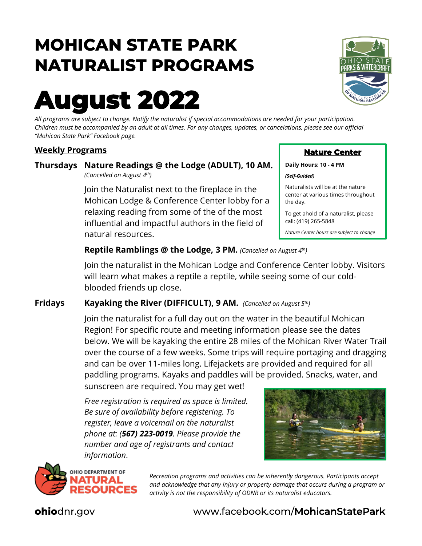## **MOHICAN STATE PARK NATURALIST PROGRAMS**

# **August 2022**

*All programs are subject to change. Notify the naturalist if special accommodations are needed for your participation. Children must be accompanied by an adult at all times. For any changes, updates, or cancelations, please see our official "Mohican State Park" Facebook page.*

#### **Weekly Programs**

#### **Thursdays Nature Readings @ the Lodge (ADULT), 10 AM.** *(Cancelled on August 4th)*

Join the Naturalist next to the fireplace in the Mohican Lodge & Conference Center lobby for a relaxing reading from some of the of the most influential and impactful authors in the field of natural resources.

#### **Reptile Ramblings @ the Lodge, 3 PM.** *(Cancelled on August 4th)*

Join the naturalist in the Mohican Lodge and Conference Center lobby. Visitors will learn what makes a reptile a reptile, while seeing some of our coldblooded friends up close.

#### **Fridays Kayaking the River (DIFFICULT), 9 AM.** *(Cancelled on August 5th)*

Join the naturalist for a full day out on the water in the beautiful Mohican Region! For specific route and meeting information please see the dates below. We will be kayaking the entire 28 miles of the Mohican River Water Trail over the course of a few weeks. Some trips will require portaging and dragging and can be over 11-miles long. Lifejackets are provided and required for all paddling programs. Kayaks and paddles will be provided. Snacks, water, and

sunscreen are required. You may get wet!

*Free registration is required as space is limited. Be sure of availability before registering. To register, leave a voicemail on the naturalist phone at: (567) 223-0019. Please provide the number and age of registrants and contact information*.





*Recreation programs and activities can be inherently dangerous. Participants accept and acknowledge that any injury or property damage that occurs during a program or activity is not the responsibility of ODNR or its naturalist educators.* 

# ሪ WATFRՐ

**Nature Center** 

Naturalists will be at the nature center at various times throughout

To get ahold of a naturalist, please

*Nature Center hours are subject to change*

**Daily Hours: 10 - 4 PM**

call: (419) 265-5848

*(Self-Guided)* 

the day.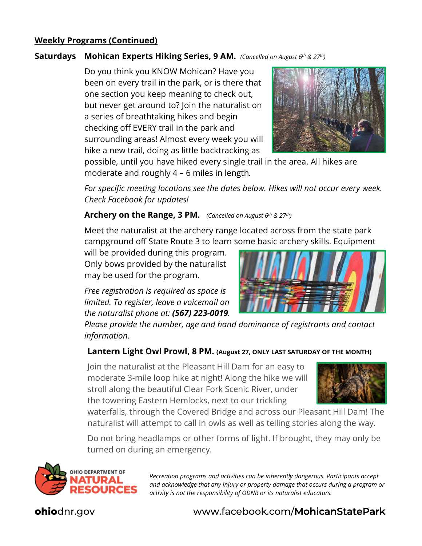#### **Weekly Programs (Continued)**

#### **Saturdays Mohican Experts Hiking Series, 9 AM.** *(Cancelled on August 6th & 27th)*

Do you think you KNOW Mohican? Have you been on every trail in the park, or is there that one section you keep meaning to check out, but never get around to? Join the naturalist on a series of breathtaking hikes and begin checking off EVERY trail in the park and surrounding areas! Almost every week you will hike a new trail, doing as little backtracking as



possible, until you have hiked every single trail in the area. All hikes are moderate and roughly 4 – 6 miles in length*.* 

*For specific meeting locations see the dates below. Hikes will not occur every week. Check Facebook for updates!*

#### **Archery on the Range, 3 PM.** *(Cancelled on August 6th & 27th)*

Meet the naturalist at the archery range located across from the state park campground off State Route 3 to learn some basic archery skills. Equipment

will be provided during this program. Only bows provided by the naturalist may be used for the program.

*Free registration is required as space is limited. To register, leave a voicemail on the naturalist phone at: (567) 223-0019.* 



*Please provide the number, age and hand dominance of registrants and contact information*.

#### **Lantern Light Owl Prowl, 8 PM. (August 27, ONLY LAST SATURDAY OF THE MONTH)**

Join the naturalist at the Pleasant Hill Dam for an easy to moderate 3-mile loop hike at night! Along the hike we will stroll along the beautiful Clear Fork Scenic River, under the towering Eastern Hemlocks, next to our trickling



waterfalls, through the Covered Bridge and across our Pleasant Hill Dam! The naturalist will attempt to call in owls as well as telling stories along the way.

Do not bring headlamps or other forms of light. If brought, they may only be turned on during an emergency.



*Recreation programs and activities can be inherently dangerous. Participants accept and acknowledge that any injury or property damage that occurs during a program or activity is not the responsibility of ODNR or its naturalist educators.*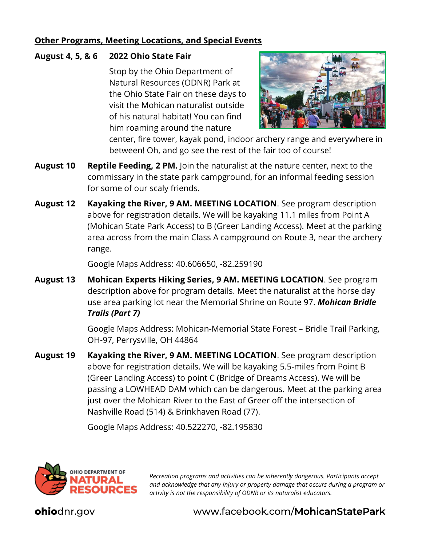#### **Other Programs, Meeting Locations, and Special Events**

#### **August 4, 5, & 6 2022 Ohio State Fair**

Stop by the Ohio Department of Natural Resources (ODNR) Park at the Ohio State Fair on these days to visit the Mohican naturalist outside of his natural habitat! You can find him roaming around the nature



center, fire tower, kayak pond, indoor archery range and everywhere in between! Oh, and go see the rest of the fair too of course!

- **August 10 Reptile Feeding, 2 PM.** Join the naturalist at the nature center, next to the commissary in the state park campground, for an informal feeding session for some of our scaly friends.
- **August 12 Kayaking the River, 9 AM. MEETING LOCATION**. See program description above for registration details. We will be kayaking 11.1 miles from Point A (Mohican State Park Access) to B (Greer Landing Access). Meet at the parking area across from the main Class A campground on Route 3, near the archery range.

Google Maps Address: 40.606650, -82.259190

**August 13 Mohican Experts Hiking Series, 9 AM. MEETING LOCATION**. See program description above for program details. Meet the naturalist at the horse day use area parking lot near the Memorial Shrine on Route 97. *Mohican Bridle Trails (Part 7)*

> Google Maps Address: Mohican-Memorial State Forest – Bridle Trail Parking, OH-97, Perrysville, OH 44864

**August 19 Kayaking the River, 9 AM. MEETING LOCATION**. See program description above for registration details. We will be kayaking 5.5-miles from Point B (Greer Landing Access) to point C (Bridge of Dreams Access). We will be passing a LOWHEAD DAM which can be dangerous. Meet at the parking area just over the Mohican River to the East of Greer off the intersection of Nashville Road (514) & Brinkhaven Road (77).

Google Maps Address: 40.522270, -82.195830



*Recreation programs and activities can be inherently dangerous. Participants accept and acknowledge that any injury or property damage that occurs during a program or activity is not the responsibility of ODNR or its naturalist educators.*